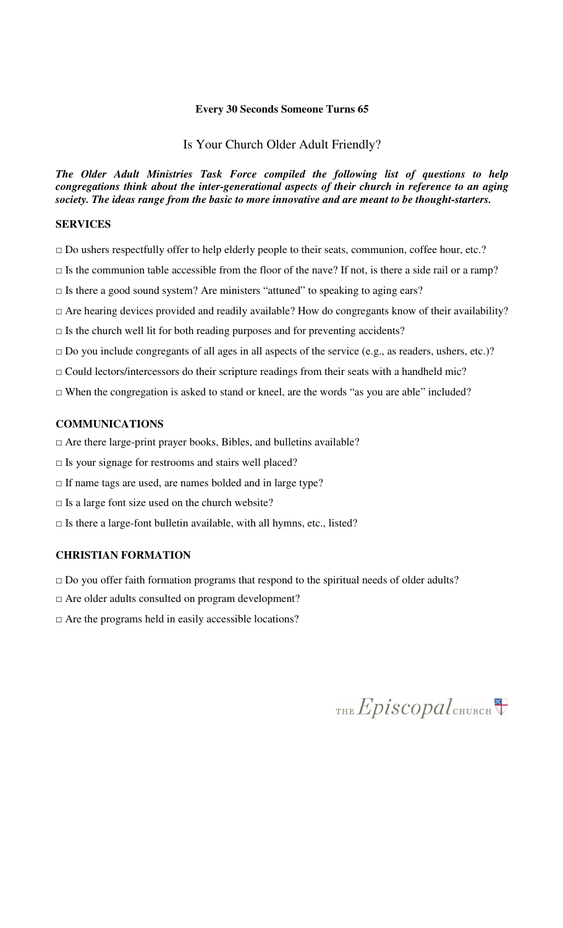#### **Every 30 Seconds Someone Turns 65**

#### Is Your Church Older Adult Friendly?

*The Older Adult Ministries Task Force compiled the following list of questions to help congregations think about the inter-generational aspects of their church in reference to an aging society. The ideas range from the basic to more innovative and are meant to be thought-starters.* 

### **SERVICES**

- $\square$  Do ushers respectfully offer to help elderly people to their seats, communion, coffee hour, etc.?
- $\Box$  Is the communion table accessible from the floor of the nave? If not, is there a side rail or a ramp?
- □ Is there a good sound system? Are ministers "attuned" to speaking to aging ears?
- □ Are hearing devices provided and readily available? How do congregants know of their availability?
- $\Box$  Is the church well lit for both reading purposes and for preventing accidents?
- □ Do you include congregants of all ages in all aspects of the service (e.g., as readers, ushers, etc.)?
- $\Box$  Could lectors/intercessors do their scripture readings from their seats with a handheld mic?
- $\Box$  When the congregation is asked to stand or kneel, are the words "as you are able" included?

### **COMMUNICATIONS**

- $\Box$  Are there large-print prayer books, Bibles, and bulletins available?
- $\square$  Is your signage for restrooms and stairs well placed?
- $\Box$  If name tags are used, are names bolded and in large type?
- $\square$  Is a large font size used on the church website?
- $\Box$  Is there a large-font bulletin available, with all hymns, etc., listed?

### **CHRISTIAN FORMATION**

- $\Box$  Do you offer faith formation programs that respond to the spiritual needs of older adults?
- □ Are older adults consulted on program development?
- $\Box$  Are the programs held in easily accessible locations?

THE Episcopal CHURCH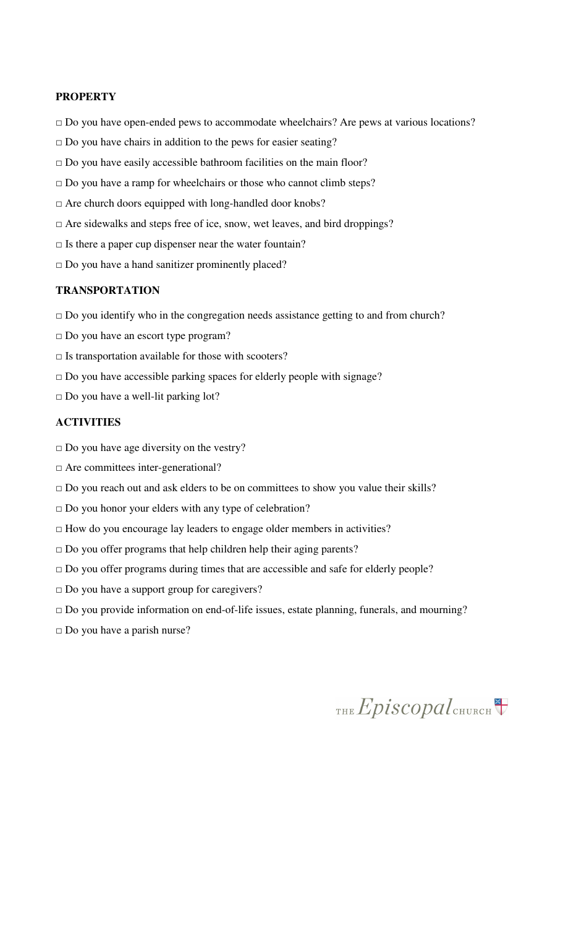#### **PROPERTY**

- □ Do you have open-ended pews to accommodate wheelchairs? Are pews at various locations?
- $\Box$  Do you have chairs in addition to the pews for easier seating?
- $\square$  Do you have easily accessible bathroom facilities on the main floor?
- □ Do you have a ramp for wheelchairs or those who cannot climb steps?
- □ Are church doors equipped with long-handled door knobs?
- □ Are sidewalks and steps free of ice, snow, wet leaves, and bird droppings?
- $\Box$  Is there a paper cup dispenser near the water fountain?
- □ Do you have a hand sanitizer prominently placed?

#### **TRANSPORTATION**

- $\Box$  Do you identify who in the congregation needs assistance getting to and from church?
- □ Do you have an escort type program?
- $\square$  Is transportation available for those with scooters?
- □ Do you have accessible parking spaces for elderly people with signage?
- $\square$  Do you have a well-lit parking lot?

# **ACTIVITIES**

- $\Box$  Do you have age diversity on the vestry?
- □ Are committees inter-generational?
- $\Box$  Do you reach out and ask elders to be on committees to show you value their skills?
- $\Box$  Do you honor your elders with any type of celebration?
- $\Box$  How do you encourage lay leaders to engage older members in activities?
- $\square$  Do you offer programs that help children help their aging parents?
- □ Do you offer programs during times that are accessible and safe for elderly people?
- □ Do you have a support group for caregivers?
- □ Do you provide information on end-of-life issues, estate planning, funerals, and mourning?
- □ Do you have a parish nurse?

THE Episcopal CHURCH